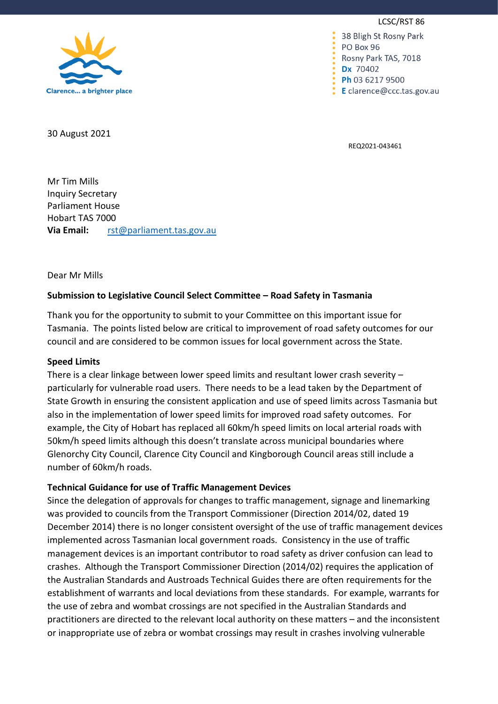LCSC/RST 86



38 Bligh St Rosny Park PO Box 96 Rosny Park TAS, 7018 Dx 70402 Ph 03 6217 9500  $\sum$  E clarence@ccc.tas.gov.au

30 August 2021

REQ2021-043461

Mr Tim Mills Inquiry Secretary Parliament House Hobart TAS 7000 **Via Email:** [rst@parliament.tas.gov.au](mailto:rst@parliament.tas.gov.au)

Dear Mr Mills

# **Submission to Legislative Council Select Committee – Road Safety in Tasmania**

Thank you for the opportunity to submit to your Committee on this important issue for Tasmania. The points listed below are critical to improvement of road safety outcomes for our council and are considered to be common issues for local government across the State.

### **Speed Limits**

There is a clear linkage between lower speed limits and resultant lower crash severity – particularly for vulnerable road users. There needs to be a lead taken by the Department of State Growth in ensuring the consistent application and use of speed limits across Tasmania but also in the implementation of lower speed limits for improved road safety outcomes. For example, the City of Hobart has replaced all 60km/h speed limits on local arterial roads with 50km/h speed limits although this doesn't translate across municipal boundaries where Glenorchy City Council, Clarence City Council and Kingborough Council areas still include a number of 60km/h roads.

## **Technical Guidance for use of Traffic Management Devices**

Since the delegation of approvals for changes to traffic management, signage and linemarking was provided to councils from the Transport Commissioner (Direction 2014/02, dated 19 December 2014) there is no longer consistent oversight of the use of traffic management devices implemented across Tasmanian local government roads. Consistency in the use of traffic management devices is an important contributor to road safety as driver confusion can lead to crashes. Although the Transport Commissioner Direction (2014/02) requires the application of the Australian Standards and Austroads Technical Guides there are often requirements for the establishment of warrants and local deviations from these standards. For example, warrants for the use of zebra and wombat crossings are not specified in the Australian Standards and practitioners are directed to the relevant local authority on these matters – and the inconsistent or inappropriate use of zebra or wombat crossings may result in crashes involving vulnerable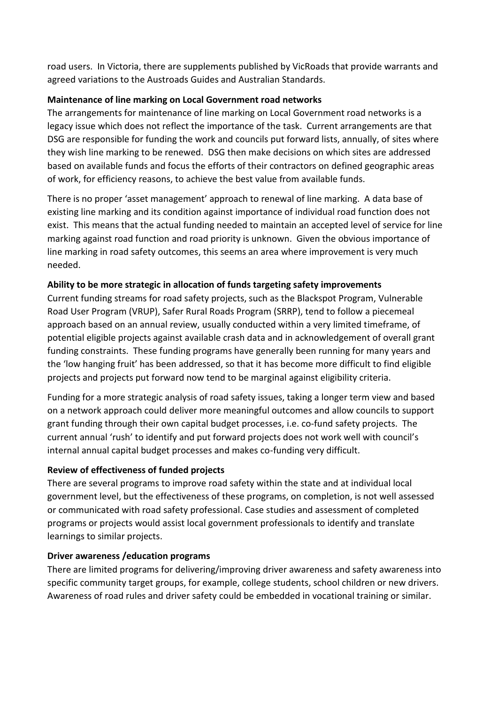road users. In Victoria, there are supplements published by VicRoads that provide warrants and agreed variations to the Austroads Guides and Australian Standards.

## **Maintenance of line marking on Local Government road networks**

The arrangements for maintenance of line marking on Local Government road networks is a legacy issue which does not reflect the importance of the task. Current arrangements are that DSG are responsible for funding the work and councils put forward lists, annually, of sites where they wish line marking to be renewed. DSG then make decisions on which sites are addressed based on available funds and focus the efforts of their contractors on defined geographic areas of work, for efficiency reasons, to achieve the best value from available funds.

There is no proper 'asset management' approach to renewal of line marking. A data base of existing line marking and its condition against importance of individual road function does not exist. This means that the actual funding needed to maintain an accepted level of service for line marking against road function and road priority is unknown. Given the obvious importance of line marking in road safety outcomes, this seems an area where improvement is very much needed.

## **Ability to be more strategic in allocation of funds targeting safety improvements**

Current funding streams for road safety projects, such as the Blackspot Program, Vulnerable Road User Program (VRUP), Safer Rural Roads Program (SRRP), tend to follow a piecemeal approach based on an annual review, usually conducted within a very limited timeframe, of potential eligible projects against available crash data and in acknowledgement of overall grant funding constraints. These funding programs have generally been running for many years and the 'low hanging fruit' has been addressed, so that it has become more difficult to find eligible projects and projects put forward now tend to be marginal against eligibility criteria.

Funding for a more strategic analysis of road safety issues, taking a longer term view and based on a network approach could deliver more meaningful outcomes and allow councils to support grant funding through their own capital budget processes, i.e. co-fund safety projects. The current annual 'rush' to identify and put forward projects does not work well with council's internal annual capital budget processes and makes co-funding very difficult.

## **Review of effectiveness of funded projects**

There are several programs to improve road safety within the state and at individual local government level, but the effectiveness of these programs, on completion, is not well assessed or communicated with road safety professional. Case studies and assessment of completed programs or projects would assist local government professionals to identify and translate learnings to similar projects.

### **Driver awareness /education programs**

There are limited programs for delivering/improving driver awareness and safety awareness into specific community target groups, for example, college students, school children or new drivers. Awareness of road rules and driver safety could be embedded in vocational training or similar.